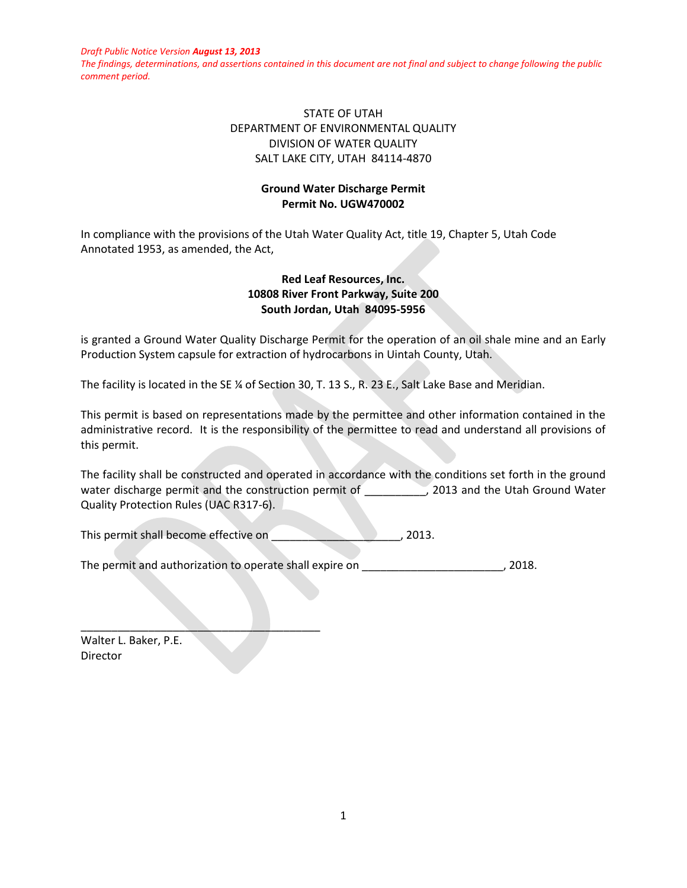*The findings, determinations, and assertions contained in this document are not final and subject to change following the public comment period.*

# STATE OF UTAH DEPARTMENT OF ENVIRONMENTAL QUALITY DIVISION OF WATER QUALITY SALT LAKE CITY, UTAH 84114-4870

## **Ground Water Discharge Permit Permit No. UGW470002**

In compliance with the provisions of the Utah Water Quality Act, title 19, Chapter 5, Utah Code Annotated 1953, as amended, the Act,

## **Red Leaf Resources, Inc. 10808 River Front Parkway, Suite 200 South Jordan, Utah 84095-5956**

is granted a Ground Water Quality Discharge Permit for the operation of an oil shale mine and an Early Production System capsule for extraction of hydrocarbons in Uintah County, Utah.

The facility is located in the SE ¼ of Section 30, T. 13 S., R. 23 E., Salt Lake Base and Meridian.

This permit is based on representations made by the permittee and other information contained in the administrative record. It is the responsibility of the permittee to read and understand all provisions of this permit.

The facility shall be constructed and operated in accordance with the conditions set forth in the ground water discharge permit and the construction permit of  $\qquad \qquad$ , 2013 and the Utah Ground Water Quality Protection Rules (UAC R317-6).

This permit shall become effective on \_\_\_\_\_\_\_\_\_\_\_\_\_\_\_\_\_\_\_\_\_, 2013.

The permit and authorization to operate shall expire on \_\_\_\_\_\_\_\_\_\_\_\_\_\_\_\_\_\_\_\_\_\_\_\_\_, 2018.

Walter L. Baker, P.E. Director

\_\_\_\_\_\_\_\_\_\_\_\_\_\_\_\_\_\_\_\_\_\_\_\_\_\_\_\_\_\_\_\_\_\_\_\_\_\_\_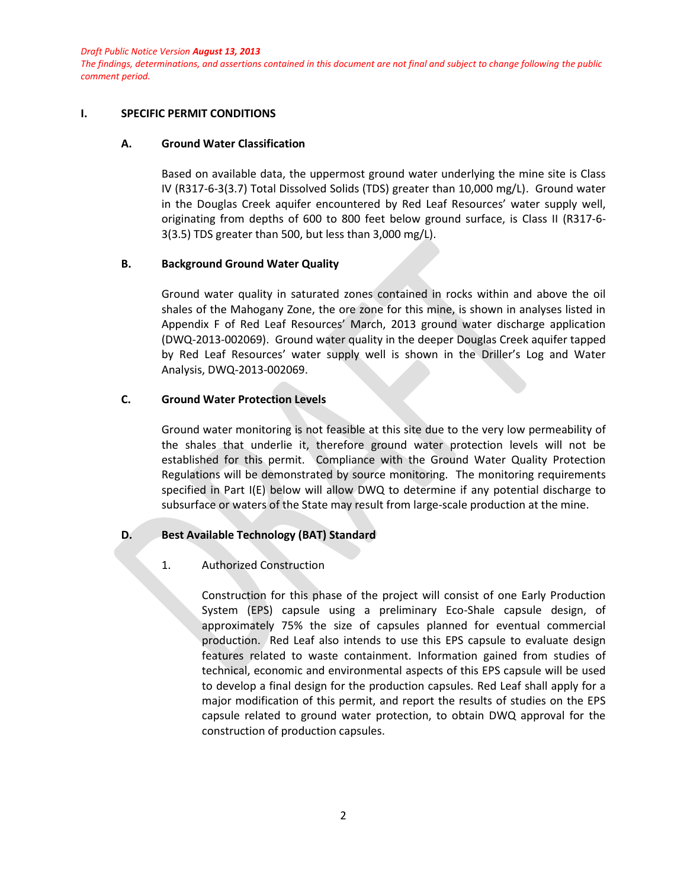*The findings, determinations, and assertions contained in this document are not final and subject to change following the public comment period.*

#### **I. SPECIFIC PERMIT CONDITIONS**

#### **A. Ground Water Classification**

Based on available data, the uppermost ground water underlying the mine site is Class IV (R317-6-3(3.7) Total Dissolved Solids (TDS) greater than 10,000 mg/L). Ground water in the Douglas Creek aquifer encountered by Red Leaf Resources' water supply well, originating from depths of 600 to 800 feet below ground surface, is Class II (R317-6- 3(3.5) TDS greater than 500, but less than 3,000 mg/L).

#### **B. Background Ground Water Quality**

Ground water quality in saturated zones contained in rocks within and above the oil shales of the Mahogany Zone, the ore zone for this mine, is shown in analyses listed in Appendix F of Red Leaf Resources' March, 2013 ground water discharge application (DWQ-2013-002069). Ground water quality in the deeper Douglas Creek aquifer tapped by Red Leaf Resources' water supply well is shown in the Driller's Log and Water Analysis, DWQ-2013-002069.

### **C. Ground Water Protection Levels**

Ground water monitoring is not feasible at this site due to the very low permeability of the shales that underlie it, therefore ground water protection levels will not be established for this permit. Compliance with the Ground Water Quality Protection Regulations will be demonstrated by source monitoring. The monitoring requirements specified in Part  $I(E)$  below will allow DWQ to determine if any potential discharge to subsurface or waters of the State may result from large-scale production at the mine.

## **D. Best Available Technology (BAT) Standard**

#### 1. Authorized Construction

Construction for this phase of the project will consist of one Early Production System (EPS) capsule using a preliminary Eco-Shale capsule design, of approximately 75% the size of capsules planned for eventual commercial production. Red Leaf also intends to use this EPS capsule to evaluate design features related to waste containment. Information gained from studies of technical, economic and environmental aspects of this EPS capsule will be used to develop a final design for the production capsules. Red Leaf shall apply for a major modification of this permit, and report the results of studies on the EPS capsule related to ground water protection, to obtain DWQ approval for the construction of production capsules.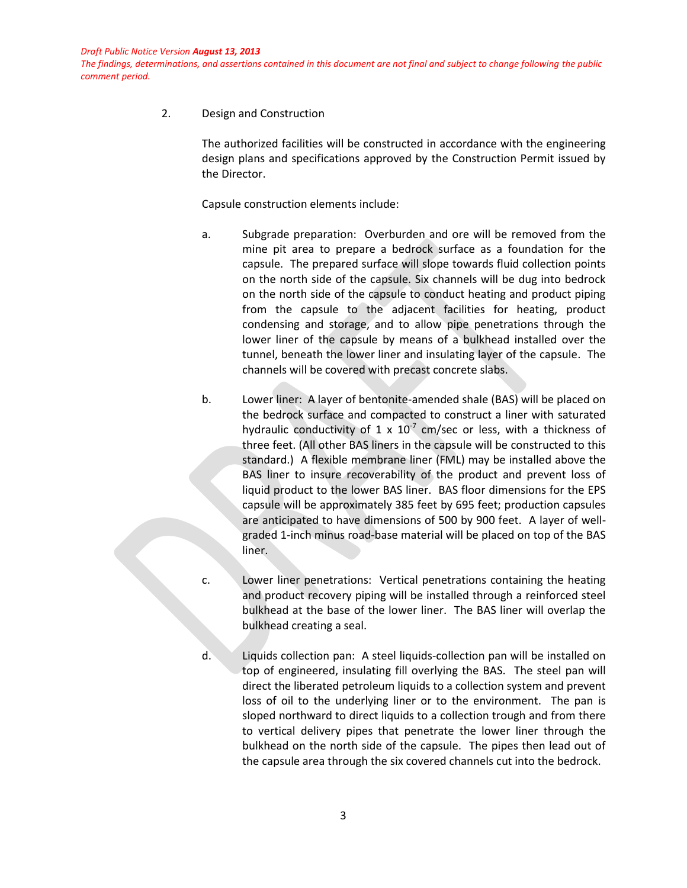*The findings, determinations, and assertions contained in this document are not final and subject to change following the public comment period.*

2. Design and Construction

The authorized facilities will be constructed in accordance with the engineering design plans and specifications approved by the Construction Permit issued by the Director.

Capsule construction elements include:

- a. Subgrade preparation: Overburden and ore will be removed from the mine pit area to prepare a bedrock surface as a foundation for the capsule. The prepared surface will slope towards fluid collection points on the north side of the capsule. Six channels will be dug into bedrock on the north side of the capsule to conduct heating and product piping from the capsule to the adjacent facilities for heating, product condensing and storage, and to allow pipe penetrations through the lower liner of the capsule by means of a bulkhead installed over the tunnel, beneath the lower liner and insulating layer of the capsule. The channels will be covered with precast concrete slabs.
- b. Lower liner: A layer of bentonite-amended shale (BAS) will be placed on the bedrock surface and compacted to construct a liner with saturated hydraulic conductivity of 1 x  $10^{-7}$  cm/sec or less, with a thickness of three feet. (All other BAS liners in the capsule will be constructed to this standard.) A flexible membrane liner (FML) may be installed above the BAS liner to insure recoverability of the product and prevent loss of liquid product to the lower BAS liner. BAS floor dimensions for the EPS capsule will be approximately 385 feet by 695 feet; production capsules are anticipated to have dimensions of 500 by 900 feet. A layer of wellgraded 1-inch minus road-base material will be placed on top of the BAS liner.
- c. Lower liner penetrations: Vertical penetrations containing the heating and product recovery piping will be installed through a reinforced steel bulkhead at the base of the lower liner. The BAS liner will overlap the bulkhead creating a seal.
- d. Liquids collection pan: A steel liquids-collection pan will be installed on top of engineered, insulating fill overlying the BAS. The steel pan will direct the liberated petroleum liquids to a collection system and prevent loss of oil to the underlying liner or to the environment. The pan is sloped northward to direct liquids to a collection trough and from there to vertical delivery pipes that penetrate the lower liner through the bulkhead on the north side of the capsule. The pipes then lead out of the capsule area through the six covered channels cut into the bedrock.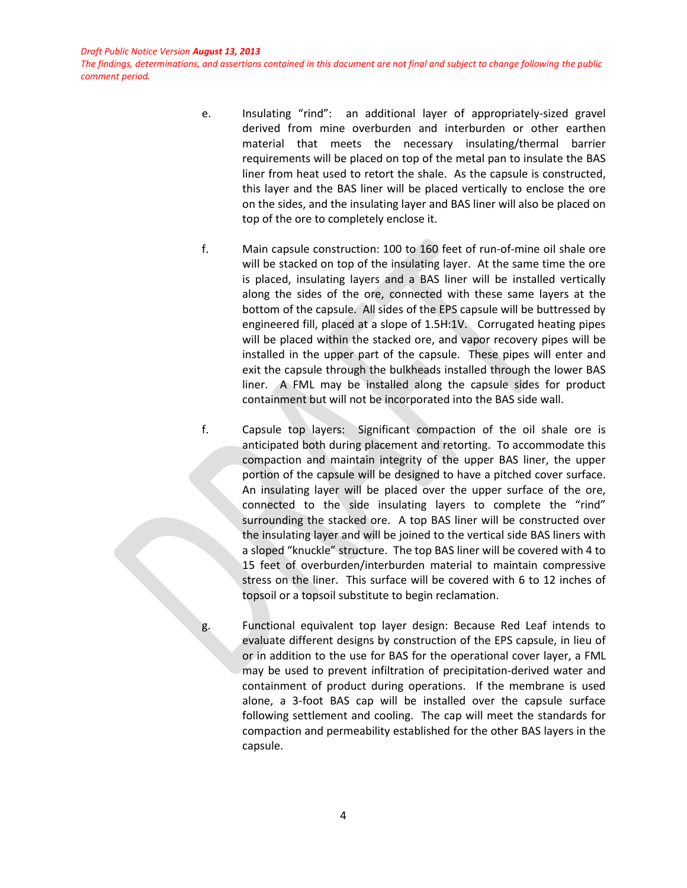*The findings, determinations, and assertions contained in this document are not final and subject to change following the public comment period.*

- e. Insulating "rind": an additional layer of appropriately-sized gravel derived from mine overburden and interburden or other earthen material that meets the necessary insulating/thermal barrier requirements will be placed on top of the metal pan to insulate the BAS liner from heat used to retort the shale. As the capsule is constructed, this layer and the BAS liner will be placed vertically to enclose the ore on the sides, and the insulating layer and BAS liner will also be placed on top of the ore to completely enclose it.
- f. Main capsule construction: 100 to 160 feet of run-of-mine oil shale ore will be stacked on top of the insulating layer. At the same time the ore is placed, insulating layers and a BAS liner will be installed vertically along the sides of the ore, connected with these same layers at the bottom of the capsule. All sides of the EPS capsule will be buttressed by engineered fill, placed at a slope of 1.5H:1V. Corrugated heating pipes will be placed within the stacked ore, and vapor recovery pipes will be installed in the upper part of the capsule. These pipes will enter and exit the capsule through the bulkheads installed through the lower BAS liner. A FML may be installed along the capsule sides for product containment but will not be incorporated into the BAS side wall.
- f. Capsule top layers: Significant compaction of the oil shale ore is anticipated both during placement and retorting. To accommodate this compaction and maintain integrity of the upper BAS liner, the upper portion of the capsule will be designed to have a pitched cover surface. An insulating layer will be placed over the upper surface of the ore, connected to the side insulating layers to complete the "rind" surrounding the stacked ore. A top BAS liner will be constructed over the insulating layer and will be joined to the vertical side BAS liners with a sloped "knuckle" structure. The top BAS liner will be covered with 4 to 15 feet of overburden/interburden material to maintain compressive stress on the liner. This surface will be covered with 6 to 12 inches of topsoil or a topsoil substitute to begin reclamation.
- g. Functional equivalent top layer design: Because Red Leaf intends to evaluate different designs by construction of the EPS capsule, in lieu of or in addition to the use for BAS for the operational cover layer, a FML may be used to prevent infiltration of precipitation-derived water and containment of product during operations. If the membrane is used alone, a 3-foot BAS cap will be installed over the capsule surface following settlement and cooling. The cap will meet the standards for compaction and permeability established for the other BAS layers in the capsule.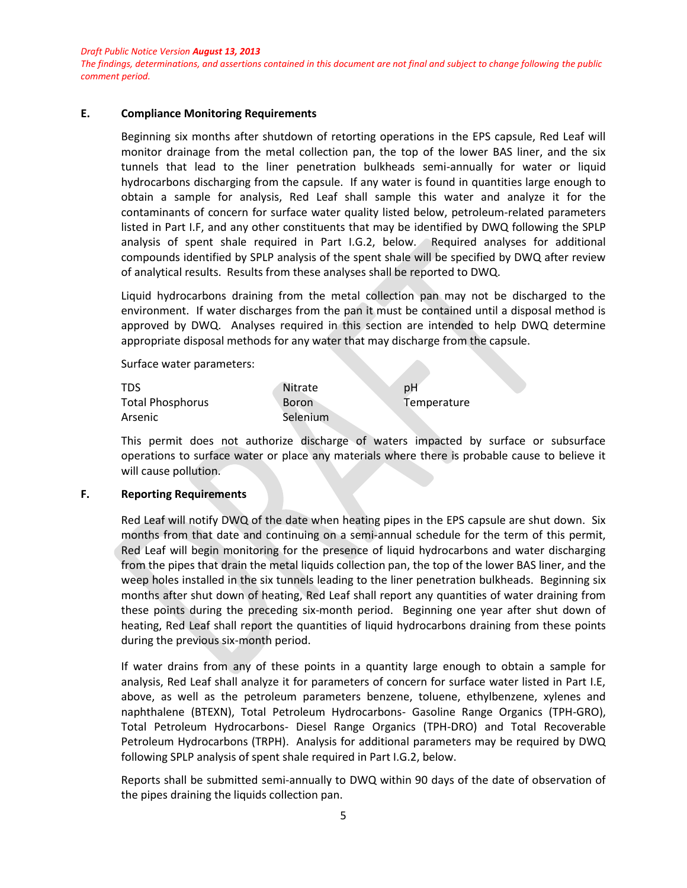*The findings, determinations, and assertions contained in this document are not final and subject to change following the public comment period.*

### **E. Compliance Monitoring Requirements**

Beginning six months after shutdown of retorting operations in the EPS capsule, Red Leaf will monitor drainage from the metal collection pan, the top of the lower BAS liner, and the six tunnels that lead to the liner penetration bulkheads semi-annually for water or liquid hydrocarbons discharging from the capsule. If any water is found in quantities large enough to obtain a sample for analysis, Red Leaf shall sample this water and analyze it for the contaminants of concern for surface water quality listed below, petroleum-related parameters listed in Part I.F, and any other constituents that may be identified by DWQ following the SPLP analysis of spent shale required in Part I.G.2, below. Required analyses for additional compounds identified by SPLP analysis of the spent shale will be specified by DWQ after review of analytical results. Results from these analyses shall be reported to DWQ.

Liquid hydrocarbons draining from the metal collection pan may not be discharged to the environment. If water discharges from the pan it must be contained until a disposal method is approved by DWQ. Analyses required in this section are intended to help DWQ determine appropriate disposal methods for any water that may discharge from the capsule.

Surface water parameters:

| TDS                     | Nitrate      | рH          |
|-------------------------|--------------|-------------|
| <b>Total Phosphorus</b> | <b>Boron</b> | Temperature |
| Arsenic                 | Selenium     |             |

This permit does not authorize discharge of waters impacted by surface or subsurface operations to surface water or place any materials where there is probable cause to believe it will cause pollution.

#### **F. Reporting Requirements**

Red Leaf will notify DWQ of the date when heating pipes in the EPS capsule are shut down. Six months from that date and continuing on a semi-annual schedule for the term of this permit, Red Leaf will begin monitoring for the presence of liquid hydrocarbons and water discharging from the pipes that drain the metal liquids collection pan, the top of the lower BAS liner, and the weep holes installed in the six tunnels leading to the liner penetration bulkheads. Beginning six months after shut down of heating, Red Leaf shall report any quantities of water draining from these points during the preceding six-month period. Beginning one year after shut down of heating, Red Leaf shall report the quantities of liquid hydrocarbons draining from these points during the previous six-month period.

If water drains from any of these points in a quantity large enough to obtain a sample for analysis, Red Leaf shall analyze it for parameters of concern for surface water listed in Part I.E, above, as well as the petroleum parameters benzene, toluene, ethylbenzene, xylenes and naphthalene (BTEXN), Total Petroleum Hydrocarbons- Gasoline Range Organics (TPH-GRO), Total Petroleum Hydrocarbons- Diesel Range Organics (TPH-DRO) and Total Recoverable Petroleum Hydrocarbons (TRPH). Analysis for additional parameters may be required by DWQ following SPLP analysis of spent shale required in Part I.G.2, below.

Reports shall be submitted semi-annually to DWQ within 90 days of the date of observation of the pipes draining the liquids collection pan.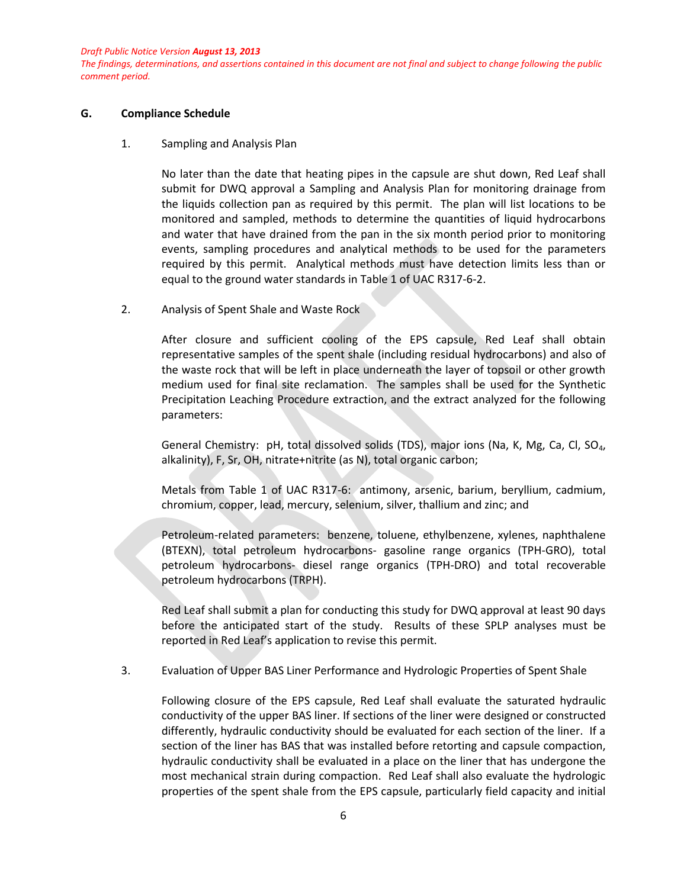*The findings, determinations, and assertions contained in this document are not final and subject to change following the public comment period.*

#### **G. Compliance Schedule**

#### 1. Sampling and Analysis Plan

No later than the date that heating pipes in the capsule are shut down, Red Leaf shall submit for DWQ approval a Sampling and Analysis Plan for monitoring drainage from the liquids collection pan as required by this permit. The plan will list locations to be monitored and sampled, methods to determine the quantities of liquid hydrocarbons and water that have drained from the pan in the six month period prior to monitoring events, sampling procedures and analytical methods to be used for the parameters required by this permit. Analytical methods must have detection limits less than or equal to the ground water standards in Table 1 of UAC R317-6-2.

2. Analysis of Spent Shale and Waste Rock

After closure and sufficient cooling of the EPS capsule, Red Leaf shall obtain representative samples of the spent shale (including residual hydrocarbons) and also of the waste rock that will be left in place underneath the layer of topsoil or other growth medium used for final site reclamation. The samples shall be used for the Synthetic Precipitation Leaching Procedure extraction, and the extract analyzed for the following parameters:

General Chemistry: pH, total dissolved solids (TDS), major ions (Na, K, Mg, Ca, Cl, SO4, alkalinity), F, Sr, OH, nitrate+nitrite (as N), total organic carbon;

Metals from Table 1 of UAC R317-6: antimony, arsenic, barium, beryllium, cadmium, chromium, copper, lead, mercury, selenium, silver, thallium and zinc; and

Petroleum-related parameters: benzene, toluene, ethylbenzene, xylenes, naphthalene (BTEXN), total petroleum hydrocarbons- gasoline range organics (TPH-GRO), total petroleum hydrocarbons- diesel range organics (TPH-DRO) and total recoverable petroleum hydrocarbons (TRPH).

Red Leaf shall submit a plan for conducting this study for DWQ approval at least 90 days before the anticipated start of the study. Results of these SPLP analyses must be reported in Red Leaf's application to revise this permit.

3. Evaluation of Upper BAS Liner Performance and Hydrologic Properties of Spent Shale

Following closure of the EPS capsule, Red Leaf shall evaluate the saturated hydraulic conductivity of the upper BAS liner. If sections of the liner were designed or constructed differently, hydraulic conductivity should be evaluated for each section of the liner. If a section of the liner has BAS that was installed before retorting and capsule compaction, hydraulic conductivity shall be evaluated in a place on the liner that has undergone the most mechanical strain during compaction. Red Leaf shall also evaluate the hydrologic properties of the spent shale from the EPS capsule, particularly field capacity and initial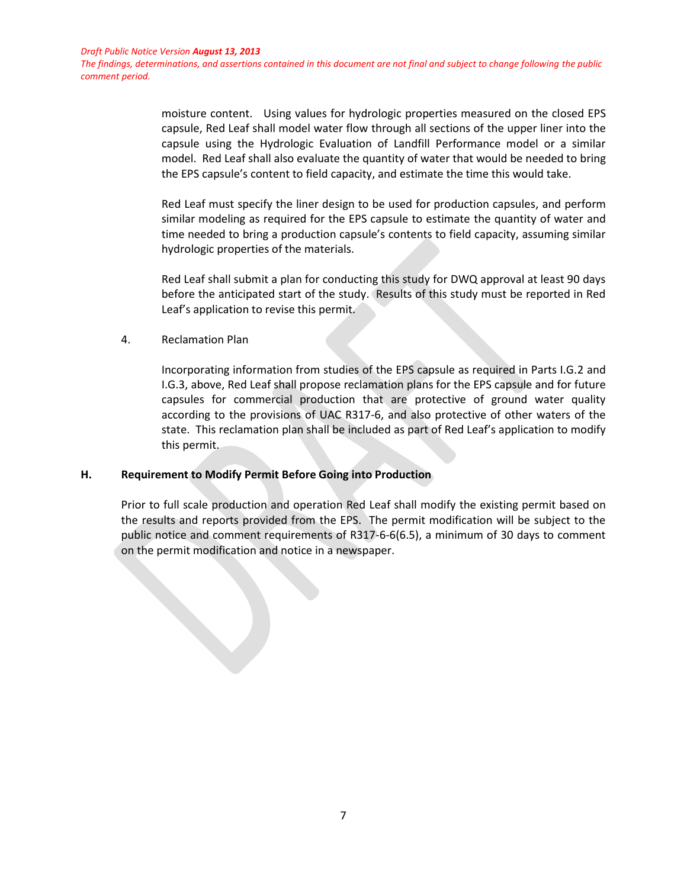*The findings, determinations, and assertions contained in this document are not final and subject to change following the public comment period.*

> moisture content. Using values for hydrologic properties measured on the closed EPS capsule, Red Leaf shall model water flow through all sections of the upper liner into the capsule using the Hydrologic Evaluation of Landfill Performance model or a similar model. Red Leaf shall also evaluate the quantity of water that would be needed to bring the EPS capsule's content to field capacity, and estimate the time this would take.

> Red Leaf must specify the liner design to be used for production capsules, and perform similar modeling as required for the EPS capsule to estimate the quantity of water and time needed to bring a production capsule's contents to field capacity, assuming similar hydrologic properties of the materials.

> Red Leaf shall submit a plan for conducting this study for DWQ approval at least 90 days before the anticipated start of the study. Results of this study must be reported in Red Leaf's application to revise this permit.

4. Reclamation Plan

Incorporating information from studies of the EPS capsule as required in Parts I.G.2 and I.G.3, above, Red Leaf shall propose reclamation plans for the EPS capsule and for future capsules for commercial production that are protective of ground water quality according to the provisions of UAC R317-6, and also protective of other waters of the state. This reclamation plan shall be included as part of Red Leaf's application to modify this permit.

## **H. Requirement to Modify Permit Before Going into Production**

Prior to full scale production and operation Red Leaf shall modify the existing permit based on the results and reports provided from the EPS. The permit modification will be subject to the public notice and comment requirements of R317-6-6(6.5), a minimum of 30 days to comment on the permit modification and notice in a newspaper.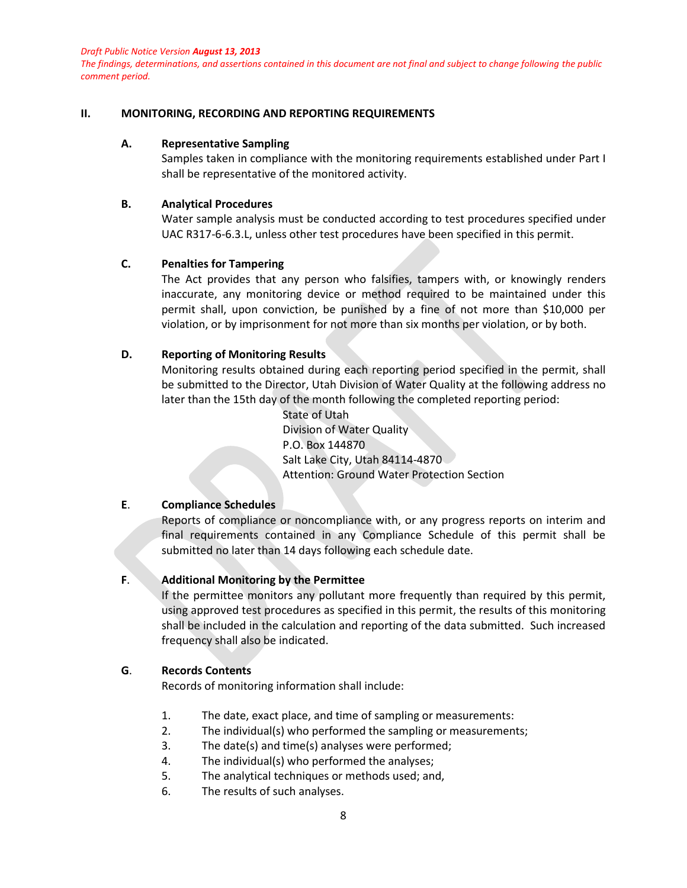*The findings, determinations, and assertions contained in this document are not final and subject to change following the public comment period.*

#### **II. MONITORING, RECORDING AND REPORTING REQUIREMENTS**

#### **A. Representative Sampling**

Samples taken in compliance with the monitoring requirements established under Part I shall be representative of the monitored activity.

#### **B. Analytical Procedures**

Water sample analysis must be conducted according to test procedures specified under UAC R317-6-6.3.L, unless other test procedures have been specified in this permit.

#### **C. Penalties for Tampering**

The Act provides that any person who falsifies, tampers with, or knowingly renders inaccurate, any monitoring device or method required to be maintained under this permit shall, upon conviction, be punished by a fine of not more than \$10,000 per violation, or by imprisonment for not more than six months per violation, or by both.

#### **D. Reporting of Monitoring Results**

Monitoring results obtained during each reporting period specified in the permit, shall be submitted to the Director, Utah Division of Water Quality at the following address no later than the 15th day of the month following the completed reporting period:

> State of Utah Division of Water Quality P.O. Box 144870 Salt Lake City, Utah 84114-4870 Attention: Ground Water Protection Section

### **E**. **Compliance Schedules**

Reports of compliance or noncompliance with, or any progress reports on interim and final requirements contained in any Compliance Schedule of this permit shall be submitted no later than 14 days following each schedule date.

#### **F**. **Additional Monitoring by the Permittee**

If the permittee monitors any pollutant more frequently than required by this permit, using approved test procedures as specified in this permit, the results of this monitoring shall be included in the calculation and reporting of the data submitted. Such increased frequency shall also be indicated.

### **G**. **Records Contents**

Records of monitoring information shall include:

- 1. The date, exact place, and time of sampling or measurements:
- 2. The individual(s) who performed the sampling or measurements;
- 3. The date(s) and time(s) analyses were performed;
- 4. The individual(s) who performed the analyses;
- 5. The analytical techniques or methods used; and,
- 6. The results of such analyses.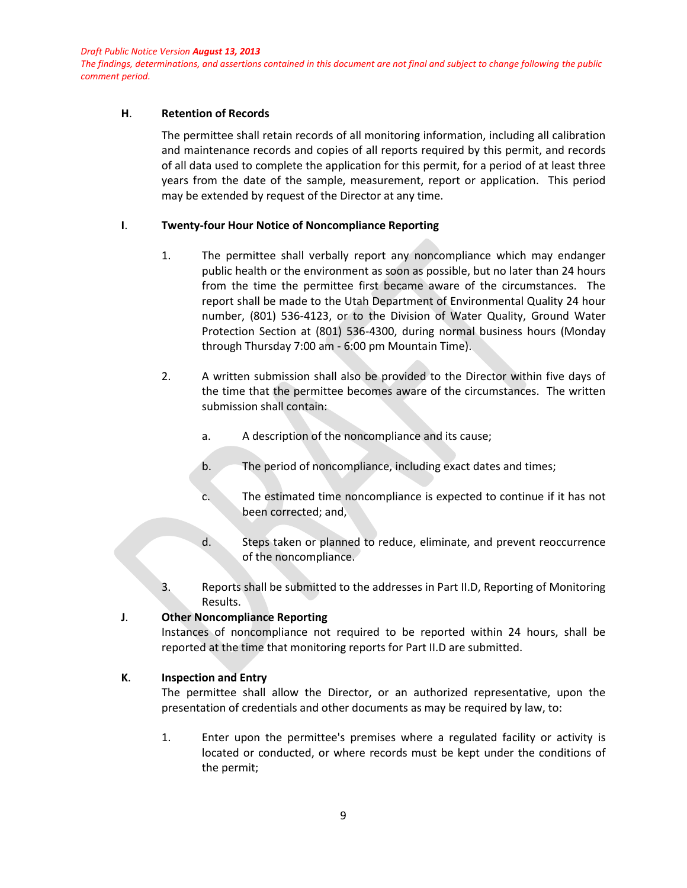*The findings, determinations, and assertions contained in this document are not final and subject to change following the public comment period.*

#### **H**. **Retention of Records**

The permittee shall retain records of all monitoring information, including all calibration and maintenance records and copies of all reports required by this permit, and records of all data used to complete the application for this permit, for a period of at least three years from the date of the sample, measurement, report or application. This period may be extended by request of the Director at any time.

#### **I**. **Twenty-four Hour Notice of Noncompliance Reporting**

- 1. The permittee shall verbally report any noncompliance which may endanger public health or the environment as soon as possible, but no later than 24 hours from the time the permittee first became aware of the circumstances. The report shall be made to the Utah Department of Environmental Quality 24 hour number, (801) 536-4123, or to the Division of Water Quality, Ground Water Protection Section at (801) 536-4300, during normal business hours (Monday through Thursday 7:00 am - 6:00 pm Mountain Time).
- 2. A written submission shall also be provided to the Director within five days of the time that the permittee becomes aware of the circumstances. The written submission shall contain:
	- a. A description of the noncompliance and its cause;
	- b. The period of noncompliance, including exact dates and times;
	- c. The estimated time noncompliance is expected to continue if it has not been corrected; and,
	- d. Steps taken or planned to reduce, eliminate, and prevent reoccurrence of the noncompliance.
- 3. Reports shall be submitted to the addresses in Part II.D, Reporting of Monitoring Results.

## **J**. **Other Noncompliance Reporting**

Instances of noncompliance not required to be reported within 24 hours, shall be reported at the time that monitoring reports for Part II.D are submitted.

## **K**. **Inspection and Entry**

The permittee shall allow the Director, or an authorized representative, upon the presentation of credentials and other documents as may be required by law, to:

1. Enter upon the permittee's premises where a regulated facility or activity is located or conducted, or where records must be kept under the conditions of the permit;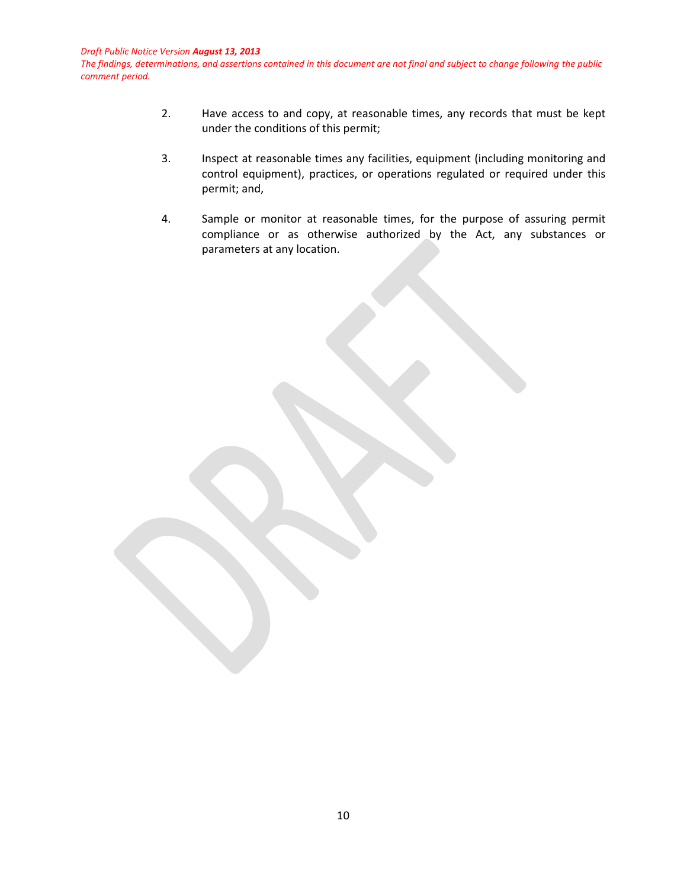*The findings, determinations, and assertions contained in this document are not final and subject to change following the public comment period.*

- 2. Have access to and copy, at reasonable times, any records that must be kept under the conditions of this permit;
- 3. Inspect at reasonable times any facilities, equipment (including monitoring and control equipment), practices, or operations regulated or required under this permit; and,
- 4. Sample or monitor at reasonable times, for the purpose of assuring permit compliance or as otherwise authorized by the Act, any substances or parameters at any location.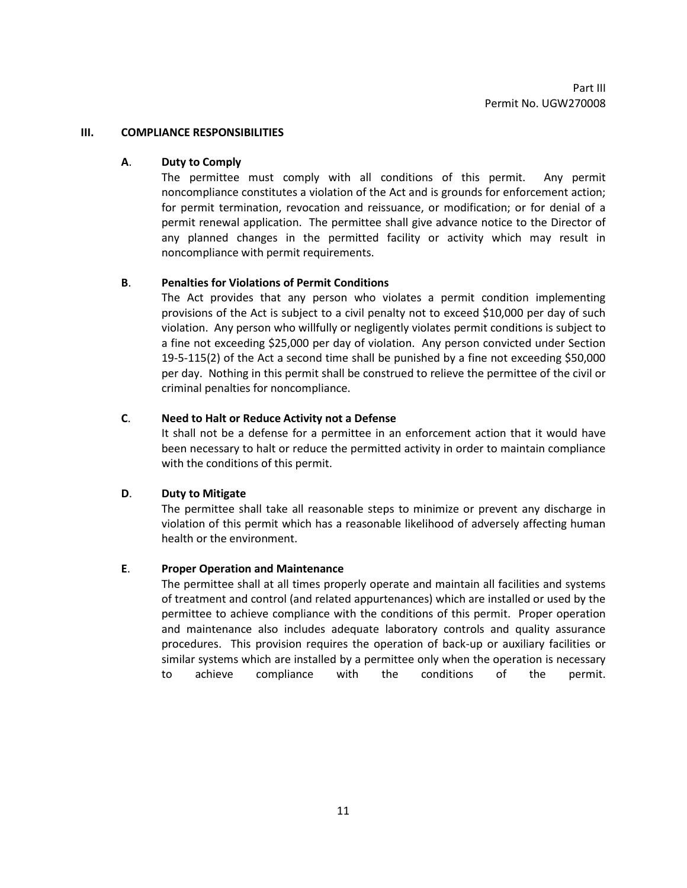#### **III. COMPLIANCE RESPONSIBILITIES**

## **A**. **Duty to Comply**

The permittee must comply with all conditions of this permit. Any permit noncompliance constitutes a violation of the Act and is grounds for enforcement action; for permit termination, revocation and reissuance, or modification; or for denial of a permit renewal application. The permittee shall give advance notice to the Director of any planned changes in the permitted facility or activity which may result in noncompliance with permit requirements.

### **B**. **Penalties for Violations of Permit Conditions**

The Act provides that any person who violates a permit condition implementing provisions of the Act is subject to a civil penalty not to exceed \$10,000 per day of such violation. Any person who willfully or negligently violates permit conditions is subject to a fine not exceeding \$25,000 per day of violation. Any person convicted under Section 19-5-115(2) of the Act a second time shall be punished by a fine not exceeding \$50,000 per day. Nothing in this permit shall be construed to relieve the permittee of the civil or criminal penalties for noncompliance.

### **C**. **Need to Halt or Reduce Activity not a Defense**

It shall not be a defense for a permittee in an enforcement action that it would have been necessary to halt or reduce the permitted activity in order to maintain compliance with the conditions of this permit.

## **D**. **Duty to Mitigate**

The permittee shall take all reasonable steps to minimize or prevent any discharge in violation of this permit which has a reasonable likelihood of adversely affecting human health or the environment.

## **E**. **Proper Operation and Maintenance**

The permittee shall at all times properly operate and maintain all facilities and systems of treatment and control (and related appurtenances) which are installed or used by the permittee to achieve compliance with the conditions of this permit. Proper operation and maintenance also includes adequate laboratory controls and quality assurance procedures. This provision requires the operation of back-up or auxiliary facilities or similar systems which are installed by a permittee only when the operation is necessary to achieve compliance with the conditions of the permit.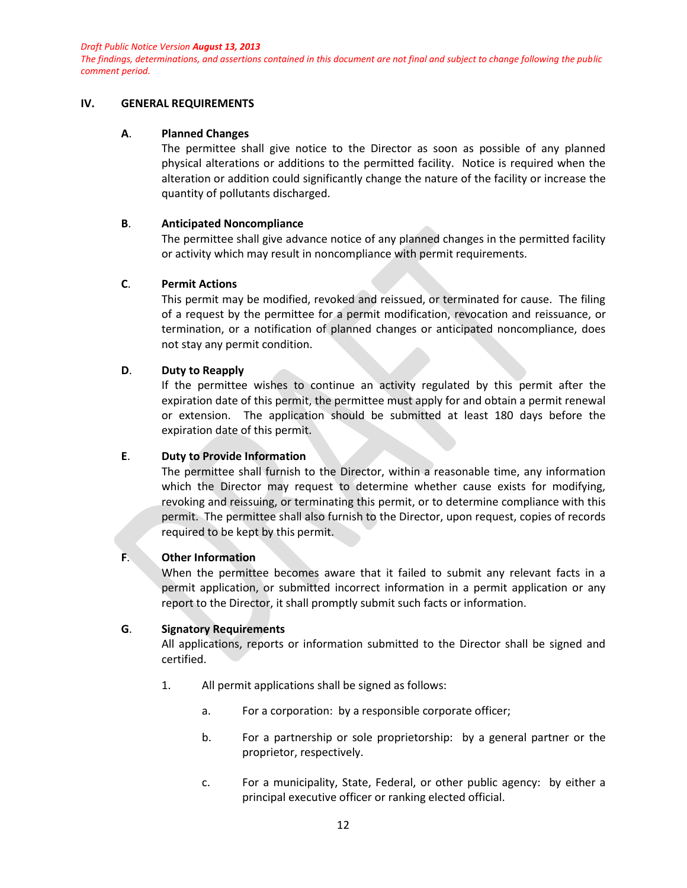*The findings, determinations, and assertions contained in this document are not final and subject to change following the public comment period.*

#### **IV. GENERAL REQUIREMENTS**

#### **A**. **Planned Changes**

The permittee shall give notice to the Director as soon as possible of any planned physical alterations or additions to the permitted facility. Notice is required when the alteration or addition could significantly change the nature of the facility or increase the quantity of pollutants discharged.

### **B**. **Anticipated Noncompliance**

The permittee shall give advance notice of any planned changes in the permitted facility or activity which may result in noncompliance with permit requirements.

## **C**. **Permit Actions**

This permit may be modified, revoked and reissued, or terminated for cause. The filing of a request by the permittee for a permit modification, revocation and reissuance, or termination, or a notification of planned changes or anticipated noncompliance, does not stay any permit condition.

### **D**. **Duty to Reapply**

If the permittee wishes to continue an activity regulated by this permit after the expiration date of this permit, the permittee must apply for and obtain a permit renewal or extension. The application should be submitted at least 180 days before the expiration date of this permit.

## **E**. **Duty to Provide Information**

The permittee shall furnish to the Director, within a reasonable time, any information which the Director may request to determine whether cause exists for modifying, revoking and reissuing, or terminating this permit, or to determine compliance with this permit. The permittee shall also furnish to the Director, upon request, copies of records required to be kept by this permit.

## **F**. **Other Information**

When the permittee becomes aware that it failed to submit any relevant facts in a permit application, or submitted incorrect information in a permit application or any report to the Director, it shall promptly submit such facts or information.

## **G**. **Signatory Requirements**

All applications, reports or information submitted to the Director shall be signed and certified.

- 1. All permit applications shall be signed as follows:
	- a. For a corporation: by a responsible corporate officer;
	- b. For a partnership or sole proprietorship: by a general partner or the proprietor, respectively.
	- c. For a municipality, State, Federal, or other public agency: by either a principal executive officer or ranking elected official.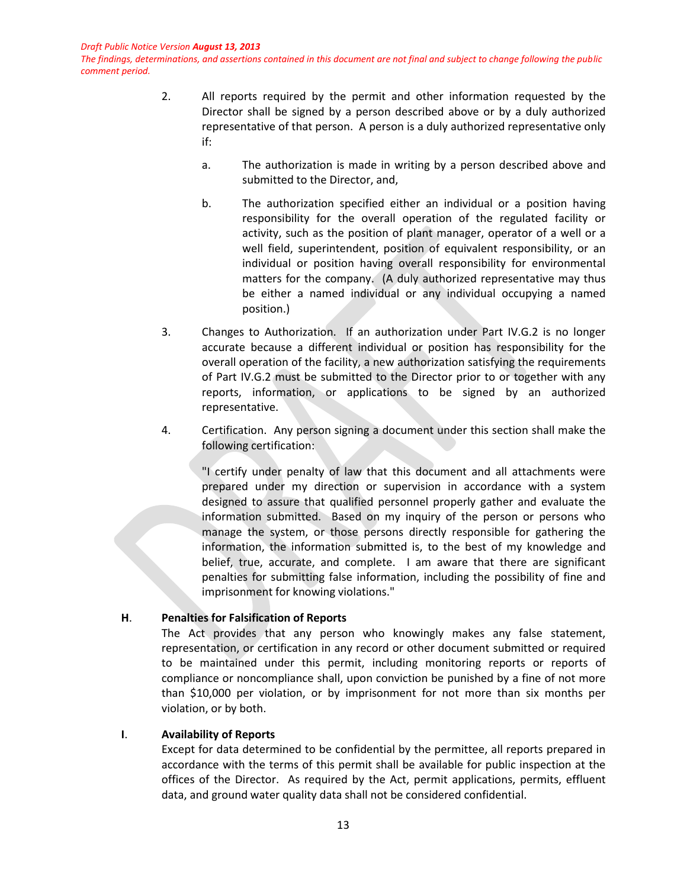*The findings, determinations, and assertions contained in this document are not final and subject to change following the public comment period.*

- 2. All reports required by the permit and other information requested by the Director shall be signed by a person described above or by a duly authorized representative of that person. A person is a duly authorized representative only if:
	- a. The authorization is made in writing by a person described above and submitted to the Director, and,
	- b. The authorization specified either an individual or a position having responsibility for the overall operation of the regulated facility or activity, such as the position of plant manager, operator of a well or a well field, superintendent, position of equivalent responsibility, or an individual or position having overall responsibility for environmental matters for the company. (A duly authorized representative may thus be either a named individual or any individual occupying a named position.)
- 3. Changes to Authorization. If an authorization under Part IV.G.2 is no longer accurate because a different individual or position has responsibility for the overall operation of the facility, a new authorization satisfying the requirements of Part IV.G.2 must be submitted to the Director prior to or together with any reports, information, or applications to be signed by an authorized representative.
- 4. Certification. Any person signing a document under this section shall make the following certification:

"I certify under penalty of law that this document and all attachments were prepared under my direction or supervision in accordance with a system designed to assure that qualified personnel properly gather and evaluate the information submitted. Based on my inquiry of the person or persons who manage the system, or those persons directly responsible for gathering the information, the information submitted is, to the best of my knowledge and belief, true, accurate, and complete. I am aware that there are significant penalties for submitting false information, including the possibility of fine and imprisonment for knowing violations."

## **H**. **Penalties for Falsification of Reports**

The Act provides that any person who knowingly makes any false statement, representation, or certification in any record or other document submitted or required to be maintained under this permit, including monitoring reports or reports of compliance or noncompliance shall, upon conviction be punished by a fine of not more than \$10,000 per violation, or by imprisonment for not more than six months per violation, or by both.

## **I**. **Availability of Reports**

Except for data determined to be confidential by the permittee, all reports prepared in accordance with the terms of this permit shall be available for public inspection at the offices of the Director. As required by the Act, permit applications, permits, effluent data, and ground water quality data shall not be considered confidential.